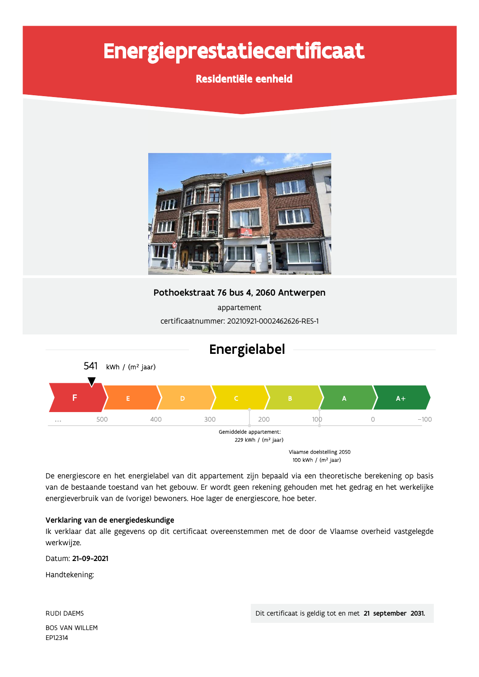# Energieprestatiecertificaat

Residentiële eenheid



Pothoekstraat 76 bus 4, 2060 Antwerpen

appartement certificaatnummer: 20210921-0002462626-RES-1



De energiescore en het energielabel van dit appartement zijn bepaald via een theoretische berekening op basis van de bestaande toestand van het gebouw. Er wordt geen rekening gehouden met het gedrag en het werkelijke energieverbruik van de (vorige) bewoners. Hoe lager de energiescore, hoe beter.

#### Verklaring van de energiedeskundige

Ik verklaar dat alle gegevens op dit certificaat overeenstemmen met de door de Vlaamse overheid vastgelegde werkwijze.

Datum: 21-09-2021

Handtekening:

**RUDI DAEMS BOS VAN WILLEM** EP12314

Dit certificaat is geldig tot en met 21 september 2031.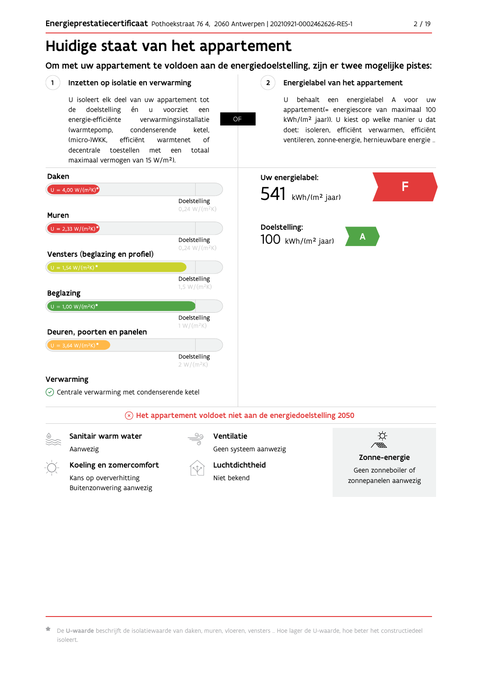## Huidige staat van het appartement

Om met uw appartement te voldoen aan de energiedoelstelling, zijn er twee mogelijke pistes:

**OF** 

#### $(1)$ Inzetten op isolatie en verwarming

U isoleert elk deel van uw appartement tot doelstelling voorziet de én  $\mathsf{u}$ een energie-efficiënte verwarmingsinstallatie (warmtepomp, condenserende ketel. (micro-)WKK. efficiënt warmtenet  $\bigcap_{ }$ decentrale toestellen met een totaal maximaal vermogen van 15 W/m<sup>2</sup>).

#### $2^{\circ}$ Energielabel van het appartement

U behaalt een energielabel A voor  $\overline{U}$ appartement(= energiescore van maximaal 100 kWh/(m<sup>2</sup> jaar)). U kiest op welke manier u dat doet: isoleren, efficiënt verwarmen, efficiënt ventileren, zonne-energie, hernieuwbare energie ...



Sanitair warm water

Aanwezig

Koeling en zomercomfort Kans op oververhitting

Buitenzonwering aanwezig

Ventilatie Geen systeem aanwezig





Zonne-energie

Geen zonneboiler of zonnepanelen aanwezig

De U-waarde beschrijft de isolatiewaarde van daken, muren, vloeren, vensters ... Hoe lager de U-waarde, hoe beter het constructiedeel isoleert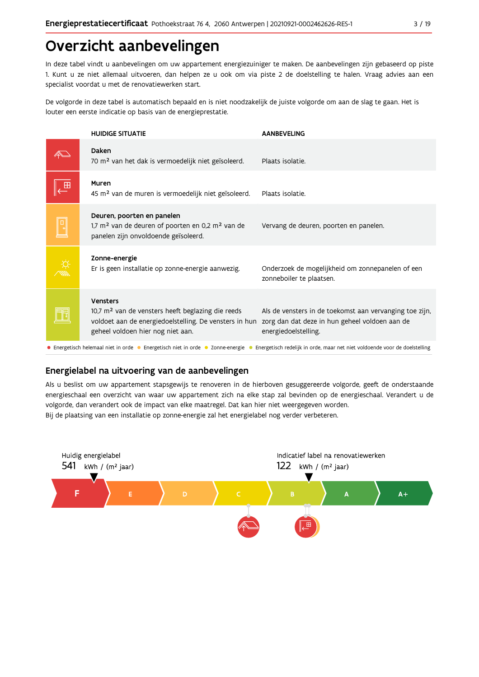## Overzicht aanbevelingen

In deze tabel vindt u aanbevelingen om uw appartement energiezuiniger te maken. De aanbevelingen zijn gebaseerd op piste 1. Kunt u ze niet allemaal uitvoeren, dan helpen ze u ook om via piste 2 de doelstelling te halen. Vraag advies aan een specialist voordat u met de renovatiewerken start.

De volgorde in deze tabel is automatisch bepaald en is niet noodzakelijk de juiste volgorde om aan de slag te gaan. Het is louter een eerste indicatie op basis van de energieprestatie.

| <b>HUIDIGE SITUATIE</b>                                                                                                                                                           | <b>AANBEVELING</b>                                                                                                                |  |  |  |  |  |  |  |
|-----------------------------------------------------------------------------------------------------------------------------------------------------------------------------------|-----------------------------------------------------------------------------------------------------------------------------------|--|--|--|--|--|--|--|
| Daken<br>70 m <sup>2</sup> van het dak is vermoedelijk niet geïsoleerd.                                                                                                           | Plaats isolatie.                                                                                                                  |  |  |  |  |  |  |  |
| Muren<br>45 m <sup>2</sup> van de muren is vermoedelijk niet geïsoleerd.                                                                                                          | Plaats isolatie.                                                                                                                  |  |  |  |  |  |  |  |
| Deuren, poorten en panelen<br>1,7 $m2$ van de deuren of poorten en 0,2 $m2$ van de<br>panelen zijn onvoldoende geïsoleerd.                                                        | Vervang de deuren, poorten en panelen.                                                                                            |  |  |  |  |  |  |  |
| Zonne-energie<br>Er is geen installatie op zonne-energie aanwezig.                                                                                                                | Onderzoek de mogelijkheid om zonnepanelen of een<br>zonneboiler te plaatsen.                                                      |  |  |  |  |  |  |  |
| <b>Vensters</b><br>$10.7$ m <sup>2</sup> van de vensters heeft beglazing die reeds<br>voldoet aan de energiedoelstelling. De vensters in hun<br>geheel voldoen hier nog niet aan. | Als de vensters in de toekomst aan vervanging toe zijn,<br>zorg dan dat deze in hun geheel voldoen aan de<br>energiedoelstelling. |  |  |  |  |  |  |  |
| • Energetisch helemaal niet in orde • Energetisch niet in orde • Zonne-energie •<br>Energetisch redelijk in orde, maar net niet voldoende voor de doelstelling                    |                                                                                                                                   |  |  |  |  |  |  |  |

### Energielabel na uitvoering van de aanbevelingen

Als u beslist om uw appartement stapsgewijs te renoveren in de hierboven gesuggereerde volgorde, geeft de onderstaande energieschaal een overzicht van waar uw appartement zich na elke stap zal bevinden op de energieschaal. Verandert u de volgorde, dan verandert ook de impact van elke maatregel. Dat kan hier niet weergegeven worden. Bij de plaatsing van een installatie op zonne-energie zal het energielabel nog verder verbeteren.

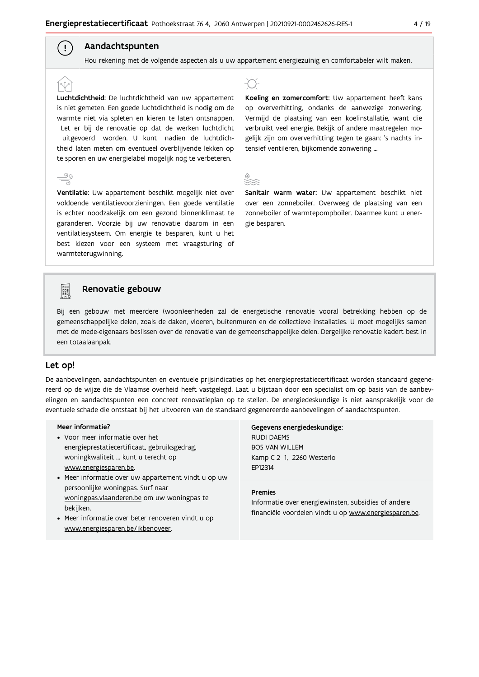### Aandachtspunten

 $\left( \begin{array}{c} 1 \end{array} \right)$ 

Hou rekening met de volgende aspecten als u uw appartement energiezuinig en comfortabeler wilt maken.

Luchtdichtheid: De luchtdichtheid van uw appartement is niet gemeten. Een goede luchtdichtheid is nodig om de warmte niet via spleten en kieren te laten ontsnappen. Let er bij de renovatie op dat de werken luchtdicht uitgevoerd worden. U kunt nadien de luchtdichtheid laten meten om eventueel overblijvende lekken op te sporen en uw energielabel mogelijk nog te verbeteren.

Ventilatie: Uw appartement beschikt mogelijk niet over voldoende ventilatievoorzieningen. Een goede ventilatie is echter noodzakelijk om een gezond binnenklimaat te garanderen. Voorzie bij uw renovatie daarom in een ventilatiesysteem. Om energie te besparen, kunt u het best kiezen voor een systeem met vraagsturing of warmteterugwinning.



Koeling en zomercomfort: Uw appartement heeft kans op oververhitting, ondanks de aanwezige zonwering. Vermijd de plaatsing van een koelinstallatie, want die verbruikt veel energie. Bekijk of andere maatregelen mogelijk zijn om oververhitting tegen te gaan: 's nachts intensief ventileren, bijkomende zonwering ...



Sanitair warm water: Uw appartement beschikt niet over een zonneboiler. Overweeg de plaatsing van een zonneboiler of warmtepompboiler. Daarmee kunt u energie besparen.



#### Renovatie gebouw

Bij een gebouw met meerdere (woon)eenheden zal de energetische renovatie vooral betrekking hebben op de gemeenschappelijke delen, zoals de daken, vloeren, buitenmuren en de collectieve installaties. U moet mogelijks samen met de mede-eigenaars beslissen over de renovatie van de gemeenschappelijke delen. Dergelijke renovatie kadert best in een totaalaanpak.

#### Let op!

De aanbevelingen, aandachtspunten en eventuele prijsindicaties op het energieprestatiecertificaat worden standaard gegenereerd op de wijze die de Vlaamse overheid heeft vastgelegd. Laat u bijstaan door een specialist om op basis van de aanbevelingen en aandachtspunten een concreet renovatieplan op te stellen. De energiedeskundige is niet aansprakelijk voor de eventuele schade die ontstaat bij het uitvoeren van de standaard gegenereerde aanbevelingen of aandachtspunten.

#### Meer informatie?

- Voor meer informatie over het energieprestatiecertificaat, gebruiksgedrag, woningkwaliteit ... kunt u terecht op www.energiesparen.be.
- Meer informatie over uw appartement vindt u op uw persoonlijke woningpas. Surf naar woningpas.vlaanderen.be om uw woningpas te bekijken.
- Meer informatie over beter renoveren vindt u op www.energiesparen.be/ikbenoveer.

#### Gegevens energiedeskundige: **RUDI DAEMS BOS VAN WILLEM**

Kamp C 2 1, 2260 Westerlo EP12314

#### **Premies**

Informatie over energiewinsten, subsidies of andere financiële voordelen vindt u op www.energiesparen.be.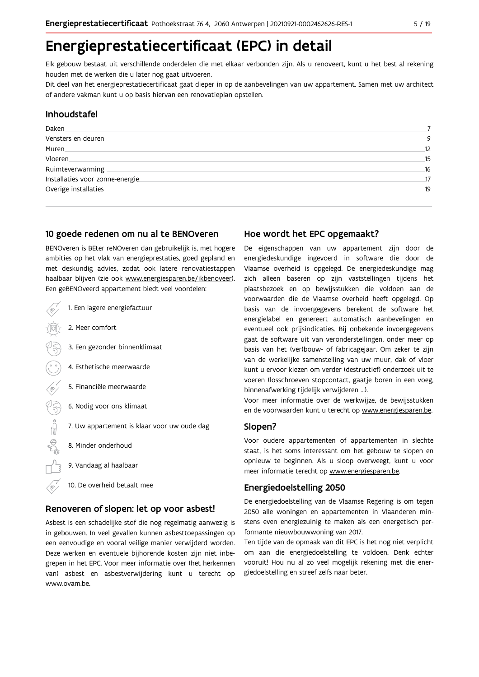## Energieprestatiecertificaat (EPC) in detail

Elk gebouw bestaat uit verschillende onderdelen die met elkaar verbonden zijn. Als u renoveert, kunt u het best al rekening houden met de werken die u later nog gaat uitvoeren.

Dit deel van het energieprestatiecertificaat gaat dieper in op de aanbevelingen van uw appartement. Samen met uw architect of andere vakman kunt u op basis hiervan een renovatieplan opstellen.

#### Inhoudstafel

| Daken                            |    |
|----------------------------------|----|
| Vensters en deuren               | 9  |
| Muren.                           | 12 |
| Vloeren                          | 15 |
| Ruimteverwarming                 | 16 |
| Installaties voor zonne-energie. | 17 |
| Overige installaties             | 19 |
|                                  |    |

#### 10 goede redenen om nu al te BENOveren

BENOveren is BEter reNOveren dan gebruikelijk is, met hogere ambities op het vlak van energieprestaties, goed gepland en met deskundig advies, zodat ook latere renovatiestappen haalbaar blijven (zie ook www.energiesparen.be/ikbenoveer). Een geBENOveerd appartement biedt veel voordelen:

| 1. Een lagere energiefactuur                |
|---------------------------------------------|
| 2. Meer comfort                             |
| 3. Een gezonder binnenklimaat               |
| 4. Esthetische meerwaarde                   |
| 5. Financiële meerwaarde                    |
| 6. Nodig voor ons klimaat                   |
| 7. Uw appartement is klaar voor uw oude dag |
| 8. Minder onderhoud                         |
| 9. Vandaag al haalbaar                      |
| 10. De overheid betaalt mee                 |

#### Renoveren of slopen: let op voor asbest!

Asbest is een schadelijke stof die nog regelmatig aanwezig is in gebouwen. In veel gevallen kunnen asbesttoepassingen op een eenvoudige en vooral veilige manier verwijderd worden. Deze werken en eventuele bijhorende kosten zijn niet inbegrepen in het EPC. Voor meer informatie over (het herkennen van) asbest en asbestverwijdering kunt u terecht op www.ovam.be.

### Hoe wordt het EPC opgemaakt?

De eigenschappen van uw appartement zijn door de energiedeskundige ingevoerd in software die door de Vlaamse overheid is opgelegd. De energiedeskundige mag zich alleen baseren op zijn vaststellingen tijdens het plaatsbezoek en op bewijsstukken die voldoen aan de voorwaarden die de Vlaamse overheid heeft opgelegd. Op basis van de invoergegevens berekent de software het energielabel en genereert automatisch aanbevelingen en eventueel ook prijsindicaties. Bij onbekende invoergegevens gaat de software uit van veronderstellingen, onder meer op basis van het (ver)bouw- of fabricagejaar. Om zeker te zijn van de werkelijke samenstelling van uw muur, dak of vloer kunt u ervoor kiezen om verder (destructief) onderzoek uit te voeren (losschroeven stopcontact, gaatje boren in een voeg, binnenafwerking tijdelijk verwijderen ...).

Voor meer informatie over de werkwijze, de bewijsstukken en de voorwaarden kunt u terecht op www.energiesparen.be.

#### Slopen?

Voor oudere appartementen of appartementen in slechte staat, is het soms interessant om het gebouw te slopen en opnieuw te beginnen. Als u sloop overweegt, kunt u voor meer informatie terecht op www.energiesparen.be.

#### **Energiedoelstelling 2050**

De energiedoelstelling van de Vlaamse Regering is om tegen 2050 alle woningen en appartementen in Vlaanderen minstens even energiezuinig te maken als een energetisch performante nieuwbouwwoning van 2017.

Ten tijde van de opmaak van dit EPC is het nog niet verplicht om aan die energiedoelstelling te voldoen. Denk echter vooruit! Hou nu al zo veel mogelijk rekening met die energiedoelstelling en streef zelfs naar beter.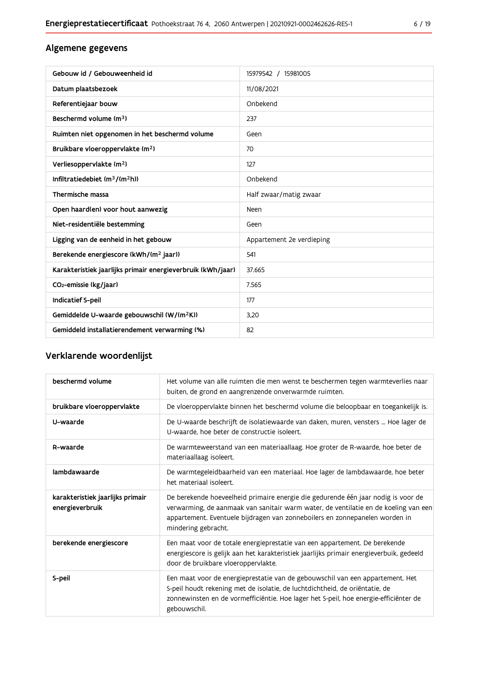### Algemene gegevens

| Gebouw id / Gebouweenheid id                                | 15979542 / 15981005       |
|-------------------------------------------------------------|---------------------------|
| Datum plaatsbezoek                                          | 11/08/2021                |
| Referentiejaar bouw                                         | Onbekend                  |
| Beschermd volume (m <sup>3</sup> )                          | 237                       |
| Ruimten niet opgenomen in het beschermd volume              | Geen                      |
| Bruikbare vloeroppervlakte (m <sup>2</sup> )                | 70                        |
| Verliesoppervlakte (m <sup>2</sup> )                        | 127                       |
| Infiltratiedebiet $(m^3/(m^2h))$                            | Onbekend                  |
| Thermische massa                                            | Half zwaar/matig zwaar    |
| Open haard(en) voor hout aanwezig                           | Neen                      |
| Niet-residentiële bestemming                                | Geen                      |
| Ligging van de eenheid in het gebouw                        | Appartement 2e verdieping |
| Berekende energiescore (kWh/(m <sup>2</sup> jaar))          | 541                       |
| Karakteristiek jaarlijks primair energieverbruik (kWh/jaar) | 37.665                    |
| CO <sub>2</sub> -emissie (kg/jaar)                          | 7.565                     |
| Indicatief S-peil                                           | 177                       |
| Gemiddelde U-waarde gebouwschil (W/(m <sup>2</sup> K))      | 3,20                      |
| Gemiddeld installatierendement verwarming (%)               | 82                        |

### Verklarende woordenlijst

| beschermd volume                                    | Het volume van alle ruimten die men wenst te beschermen tegen warmteverlies naar<br>buiten, de grond en aangrenzende onverwarmde ruimten.                                                                                                                                      |
|-----------------------------------------------------|--------------------------------------------------------------------------------------------------------------------------------------------------------------------------------------------------------------------------------------------------------------------------------|
| bruikbare vloeroppervlakte                          | De vloeroppervlakte binnen het beschermd volume die beloopbaar en toegankelijk is.                                                                                                                                                                                             |
| U-waarde                                            | De U-waarde beschrijft de isolatiewaarde van daken, muren, vensters  Hoe lager de<br>U-waarde, hoe beter de constructie isoleert.                                                                                                                                              |
| R-waarde                                            | De warmteweerstand van een materiaallaag. Hoe groter de R-waarde, hoe beter de<br>materiaallaag isoleert.                                                                                                                                                                      |
| lambdawaarde                                        | De warmtegeleidbaarheid van een materiaal. Hoe lager de lambdawaarde, hoe beter<br>het materiaal isoleert.                                                                                                                                                                     |
| karakteristiek jaarlijks primair<br>energieverbruik | De berekende hoeveelheid primaire energie die gedurende één jaar nodig is voor de<br>verwarming, de aanmaak van sanitair warm water, de ventilatie en de koeling van een<br>appartement. Eventuele bijdragen van zonneboilers en zonnepanelen worden in<br>mindering gebracht. |
| berekende energiescore                              | Een maat voor de totale energieprestatie van een appartement. De berekende<br>energiescore is gelijk aan het karakteristiek jaarlijks primair energieverbuik, gedeeld<br>door de bruikbare vloeroppervlakte.                                                                   |
| S-peil                                              | Een maat voor de energieprestatie van de gebouwschil van een appartement. Het<br>S-peil houdt rekening met de isolatie, de luchtdichtheid, de oriëntatie, de<br>zonnewinsten en de vormefficiëntie. Hoe lager het S-peil, hoe energie-efficiënter de<br>gebouwschil.           |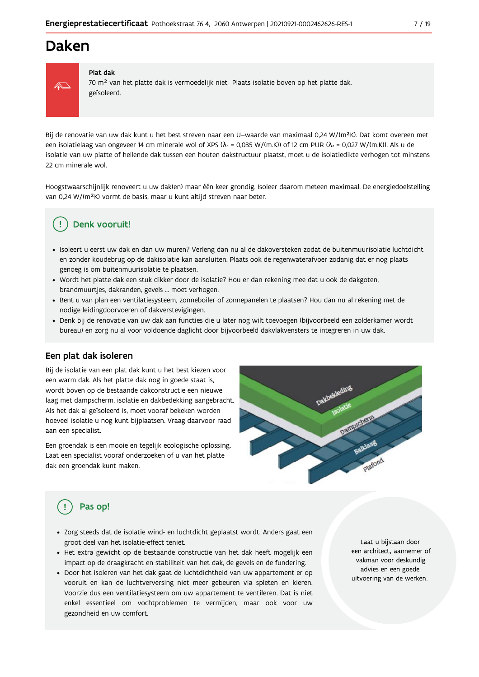### Daken



#### Plat dak

70 m<sup>2</sup> van het platte dak is vermoedelijk niet Plaats isolatie boven op het platte dak. geïsoleerd.

Bij de renovatie van uw dak kunt u het best streven naar een U-waarde van maximaal 0,24 W/(m<sup>2</sup>K). Dat komt overeen met een isolatielaag van ongeveer 14 cm minerale wol of XPS ( $\lambda_a$  = 0,035 W/(m.K)) of 12 cm PUR ( $\lambda_a$  = 0,027 W/(m.K)). Als u de isolatie van uw platte of hellende dak tussen een houten dakstructuur plaatst, moet u de isolatiedikte verhogen tot minstens 22 cm minerale wol.

Hoogstwaarschijnlijk renoveert u uw daklen) maar één keer grondig. Isoleer daarom meteen maximaal. De energiedoelstelling van 0,24 W/(m<sup>2</sup>K) vormt de basis, maar u kunt altijd streven naar beter.

### Denk vooruit!

- · Isoleert u eerst uw dak en dan uw muren? Verleng dan nu al de dakoversteken zodat de buitenmuurisolatie luchtdicht en zonder koudebrug op de dakisolatie kan aansluiten. Plaats ook de regenwaterafvoer zodanig dat er nog plaats genoeg is om buitenmuurisolatie te plaatsen.
- · Wordt het platte dak een stuk dikker door de isolatie? Hou er dan rekening mee dat u ook de dakgoten, brandmuurtjes, dakranden, gevels ... moet verhogen.
- · Bent u van plan een ventilatiesysteem, zonneboiler of zonnepanelen te plaatsen? Hou dan nu al rekening met de nodige leidingdoorvoeren of dakverstevigingen.
- · Denk bij de renovatie van uw dak aan functies die u later nog wilt toevoegen (bijvoorbeeld een zolderkamer wordt bureau) en zorg nu al voor voldoende daglicht door bijvoorbeeld dakvlakvensters te integreren in uw dak.

#### Een plat dak isoleren

Bij de isolatie van een plat dak kunt u het best kiezen voor een warm dak. Als het platte dak nog in goede staat is, wordt boven op de bestaande dakconstructie een nieuwe laag met dampscherm, isolatie en dakbedekking aangebracht. Als het dak al geïsoleerd is, moet vooraf bekeken worden hoeveel isolatie u nog kunt bijplaatsen. Vraag daarvoor raad aan een specialist.

Een groendak is een mooie en tegelijk ecologische oplossing. Laat een specialist vooraf onderzoeken of u van het platte dak een groendak kunt maken.



### Pas op!

- · Zorg steeds dat de isolatie wind- en luchtdicht geplaatst wordt. Anders gaat een groot deel van het isolatie-effect teniet.
- · Het extra gewicht op de bestaande constructie van het dak heeft mogelijk een impact op de draagkracht en stabiliteit van het dak, de gevels en de fundering.
- · Door het isoleren van het dak gaat de luchtdichtheid van uw appartement er op vooruit en kan de luchtverversing niet meer gebeuren via spleten en kieren. Voorzie dus een ventilatiesysteem om uw appartement te ventileren. Dat is niet enkel essentieel om vochtproblemen te vermijden, maar ook voor uw gezondheid en uw comfort.

Laat u bijstaan door een architect, aannemer of vakman voor deskundig advies en een goede uitvoering van de werken.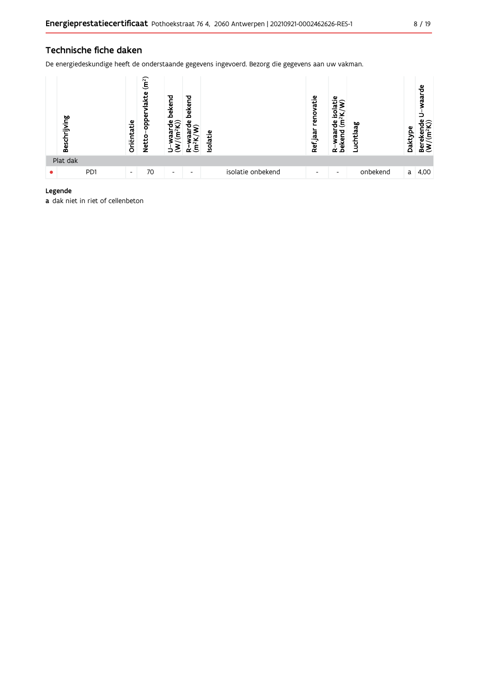#### Technische fiche daken

De energiedeskundige heeft de onderstaande gegevens ingevoerd. Bezorg die gegevens aan uw vakman.



#### Legende

a dak niet in riet of cellenbeton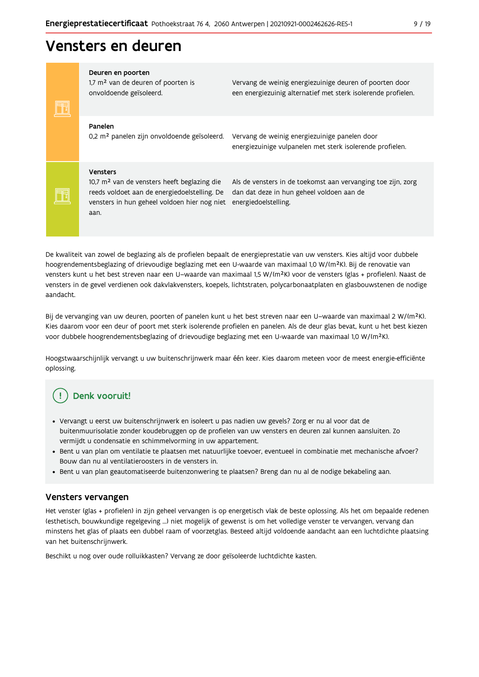### Vensters en deuren

| Deuren en poorten<br>1,7 m <sup>2</sup> van de deuren of poorten is<br>onvoldoende geïsoleerd.                                                                                     | Vervang de weinig energiezuinige deuren of poorten door<br>een energiezuinig alternatief met sterk isolerende profielen.          |
|------------------------------------------------------------------------------------------------------------------------------------------------------------------------------------|-----------------------------------------------------------------------------------------------------------------------------------|
| Panelen<br>0,2 m <sup>2</sup> panelen zijn onvoldoende geïsoleerd.                                                                                                                 | Vervang de weinig energiezuinige panelen door<br>energiezuinige vulpanelen met sterk isolerende profielen.                        |
| <b>Vensters</b><br>10,7 m <sup>2</sup> van de vensters heeft beglazing die<br>reeds voldoet aan de energiedoelstelling. De<br>vensters in hun geheel voldoen hier nog niet<br>aan. | Als de vensters in de toekomst aan vervanging toe zijn, zorg<br>dan dat deze in hun geheel voldoen aan de<br>energiedoelstelling. |

De kwaliteit van zowel de beglazing als de profielen bepaalt de energieprestatie van uw vensters. Kies altijd voor dubbele hoogrendementsbeglazing of drievoudige beglazing met een U-waarde van maximaal 1,0 W/(m<sup>2</sup>K). Bij de renovatie van vensters kunt u het best streven naar een U-waarde van maximaal 1,5 W/(m<sup>2</sup>K) voor de vensters (glas + profielen). Naast de vensters in de gevel verdienen ook dakvlakvensters, koepels, lichtstraten, polycarbonaatplaten en glasbouwstenen de nodige aandacht.

Bij de vervanging van uw deuren, poorten of panelen kunt u het best streven naar een U-waarde van maximaal 2 W/(m<sup>2</sup>K). Kies daarom voor een deur of poort met sterk isolerende profielen en panelen. Als de deur glas bevat, kunt u het best kiezen voor dubbele hoogrendementsbeglazing of drievoudige beglazing met een U-waarde van maximaal 1,0 W/(m<sup>2</sup>K).

Hoogstwaarschijnlijk vervangt u uw buitenschrijnwerk maar één keer. Kies daarom meteen voor de meest energie-efficiënte oplossing.

#### Denk vooruit! **I**

- · Vervangt u eerst uw buitenschrijnwerk en isoleert u pas nadien uw gevels? Zorg er nu al voor dat de buitenmuurisolatie zonder koudebruggen op de profielen van uw vensters en deuren zal kunnen aansluiten. Zo vermijdt u condensatie en schimmelvorming in uw appartement.
- Bent u van plan om ventilatie te plaatsen met natuurlijke toevoer, eventueel in combinatie met mechanische afvoer? Bouw dan nu al ventilatieroosters in de vensters in.
- · Bent u van plan geautomatiseerde buitenzonwering te plaatsen? Breng dan nu al de nodige bekabeling aan.

#### Vensters vervangen

Het venster (glas + profielen) in zijn geheel vervangen is op energetisch vlak de beste oplossing. Als het om bepaalde redenen (esthetisch, bouwkundige regelgeving ...) niet mogelijk of gewenst is om het volledige venster te vervangen, vervang dan minstens het glas of plaats een dubbel raam of voorzetglas. Besteed altijd voldoende aandacht aan een luchtdichte plaatsing van het buitenschrijnwerk.

Beschikt u nog over oude rolluikkasten? Vervang ze door geïsoleerde luchtdichte kasten.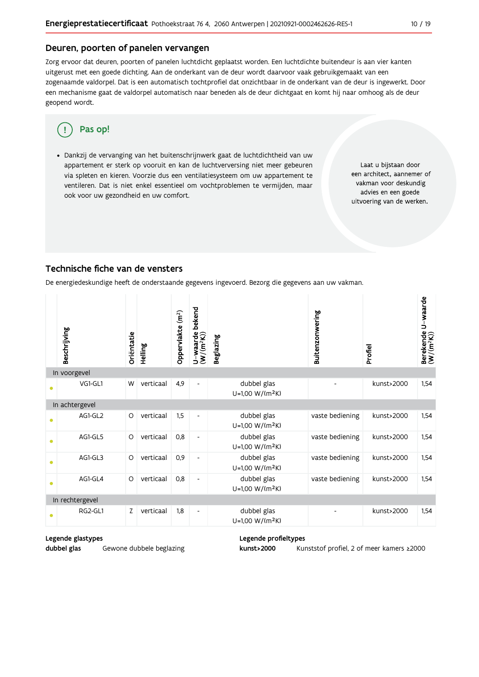#### Deuren, poorten of panelen vervangen

Zorg ervoor dat deuren, poorten of panelen luchtdicht geplaatst worden. Een luchtdichte buitendeur is aan vier kanten uitgerust met een goede dichting. Aan de onderkant van de deur wordt daarvoor vaak gebruikgemaakt van een zogenaamde valdorpel. Dat is een automatisch tochtprofiel dat onzichtbaar in de onderkant van de deur is ingewerkt. Door een mechanisme gaat de valdorpel automatisch naar beneden als de deur dichtgaat en komt hij naar omhoog als de deur geopend wordt.

#### Pas op! Π

· Dankzij de vervanging van het buitenschrijnwerk gaat de luchtdichtheid van uw appartement er sterk op vooruit en kan de luchtverversing niet meer gebeuren via spleten en kieren. Voorzie dus een ventilatiesysteem om uw appartement te ventileren. Dat is niet enkel essentieel om vochtproblemen te vermijden, maar ook voor uw gezondheid en uw comfort.

Laat u bijstaan door een architect, aannemer of vakman voor deskundig advies en een goede uitvoering van de werken.

#### Technische fiche van de vensters

De energiedeskundige heeft de onderstaande gegevens ingevoerd. Bezorg die gegevens aan uw vakman.

|           | Beschrijving    | Oriëntatie | Helling   | Oppervlakte (m <sup>2</sup> ) | bekend<br>$U$ –waarde<br>(W/(m <sup>2</sup> K)) | Beglazing                                  | Buitenzonwering | Profiel    | U-waarde<br>Berekende l<br>(W/(m <sup>2</sup> K)) |  |  |
|-----------|-----------------|------------|-----------|-------------------------------|-------------------------------------------------|--------------------------------------------|-----------------|------------|---------------------------------------------------|--|--|
|           | In voorgevel    |            |           |                               |                                                 |                                            |                 |            |                                                   |  |  |
|           | VG1-GL1         | W          | verticaal | 4,9                           | $\overline{\phantom{a}}$                        | dubbel glas<br>U=1,00 W/(m <sup>2</sup> K) |                 | kunst>2000 | 1,54                                              |  |  |
|           | In achtergevel  |            |           |                               |                                                 |                                            |                 |            |                                                   |  |  |
|           | AG1-GL2         | O          | verticaal | 1,5                           | $\overline{\phantom{a}}$                        | dubbel glas<br>U=1,00 W/(m <sup>2</sup> K) | vaste bediening | kunst>2000 | 1,54                                              |  |  |
| $\bullet$ | AG1-GL5         | $\circ$    | verticaal | 0,8                           | $\overline{\phantom{a}}$                        | dubbel glas<br>U=1,00 W/(m <sup>2</sup> K) | vaste bediening | kunst>2000 | 1,54                                              |  |  |
| $\bullet$ | AG1-GL3         | O          | verticaal | 0,9                           | $\qquad \qquad \blacksquare$                    | dubbel glas<br>U=1,00 W/(m <sup>2</sup> K) | vaste bediening | kunst>2000 | 1.54                                              |  |  |
| $\bullet$ | AG1-GL4         | $\circ$    | verticaal | 0,8                           | $\overline{\phantom{0}}$                        | dubbel glas<br>$U=1,00 W/(m^2K)$           | vaste bediening | kunst>2000 | 1,54                                              |  |  |
|           | In rechtergevel |            |           |                               |                                                 |                                            |                 |            |                                                   |  |  |
|           | RG2-GL1         | Z.         | verticaal | 1,8                           | $\qquad \qquad \blacksquare$                    | dubbel glas<br>U=1,00 W/(m <sup>2</sup> K) |                 | kunst>2000 | 1,54                                              |  |  |

### Legende glastypes

dubbel glas Gewone dubbele beglazing

#### Legende profieltypes kunst>2000

Kunststof profiel, 2 of meer kamers ≥2000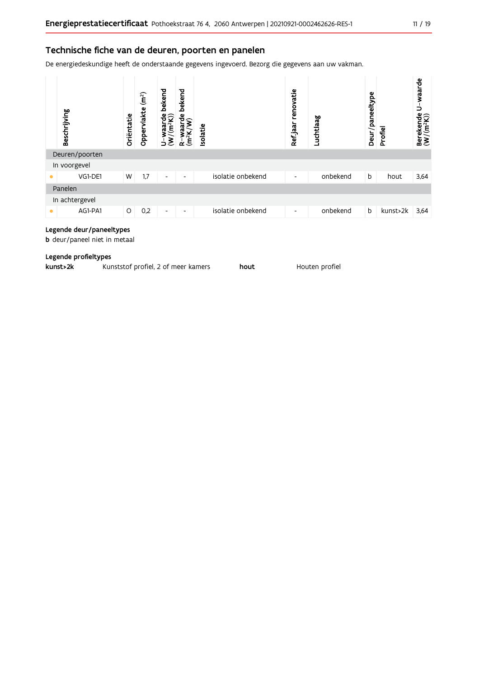#### Technische fiche van de deuren, poorten en panelen

De energiedeskundige heeft de onderstaande gegevens ingevoerd. Bezorg die gegevens aan uw vakman.

| Beschrijving   | Oriëntatie | (m <sup>2</sup> )<br>Oppervlakte | bekend<br>$\frac{w \text{aarde}}{(m^2 K)}$<br>$\tilde{\epsilon}$<br>Б | bekend<br>$ \tilde{\boldsymbol{\mathsf{g}}}^{\mathfrak{b}}_{\boldsymbol{\mathsf{r}}} \rangle$<br>ಗ<br>ಗ<br>R-wa<br>(m <sup>2</sup> K, | solatie |                   | renovatie<br>Ref jaar | Luchtlaag | Deur/paneeltype | Profiel  | U-waarde<br>Berekende l<br>(W/(m <sup>2</sup> K)) |
|----------------|------------|----------------------------------|-----------------------------------------------------------------------|---------------------------------------------------------------------------------------------------------------------------------------|---------|-------------------|-----------------------|-----------|-----------------|----------|---------------------------------------------------|
| Deuren/poorten |            |                                  |                                                                       |                                                                                                                                       |         |                   |                       |           |                 |          |                                                   |
| In voorgevel   |            |                                  |                                                                       |                                                                                                                                       |         |                   |                       |           |                 |          |                                                   |
| VG1-DE1        | W          | 1,7                              | $\overline{\phantom{a}}$                                              | ٠                                                                                                                                     |         | isolatie onbekend | ٠                     | onbekend  | b               | hout     | 3,64                                              |
| Panelen        |            |                                  |                                                                       |                                                                                                                                       |         |                   |                       |           |                 |          |                                                   |
| In achtergevel |            |                                  |                                                                       |                                                                                                                                       |         |                   |                       |           |                 |          |                                                   |
| AG1-PA1<br>●   | O          | 0,2                              | $\overline{\phantom{a}}$                                              | $\overline{\phantom{a}}$                                                                                                              |         | isolatie onbekend | ٠                     | onbekend  | b               | kunst>2k | 3,64                                              |

#### Legende deur/paneeltypes

b deur/paneel niet in metaal

#### Legende profieltypes

| kunst>2k | Kunststof profiel, 2 of meer kamers | hout | Houten profiel |
|----------|-------------------------------------|------|----------------|
|----------|-------------------------------------|------|----------------|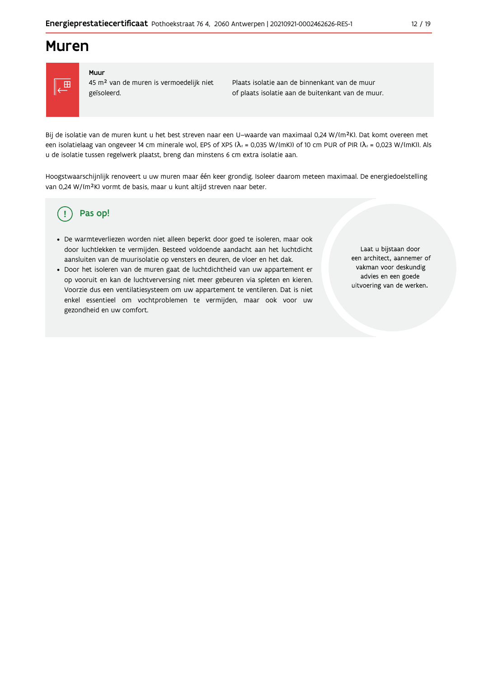### **Muren**



#### Muur

45 m<sup>2</sup> van de muren is vermoedelijk niet geïsoleerd.

Plaats isolatie aan de binnenkant van de muur of plaats isolatie aan de buitenkant van de muur.

Bij de isolatie van de muren kunt u het best streven naar een U-waarde van maximaal 0,24 W/(m<sup>2</sup>K). Dat komt overeen met een isolatielaag van ongeveer 14 cm minerale wol, EPS of XPS ( $\lambda_a$  = 0,035 W/(mK)) of 10 cm PUR of PIR ( $\lambda_a$  = 0,023 W/(mK)). Als u de isolatie tussen regelwerk plaatst, breng dan minstens 6 cm extra isolatie aan.

Hoogstwaarschijnlijk renoveert u uw muren maar één keer grondig. Isoleer daarom meteen maximaal. De energiedoelstelling van 0,24 W/(m<sup>2</sup>K) vormt de basis, maar u kunt altijd streven naar beter.

#### Pas op! (!

- · De warmteverliezen worden niet alleen beperkt door goed te isoleren, maar ook door luchtlekken te vermijden. Besteed voldoende aandacht aan het luchtdicht aansluiten van de muurisolatie op vensters en deuren, de vloer en het dak.
- · Door het isoleren van de muren gaat de luchtdichtheid van uw appartement er op vooruit en kan de luchtverversing niet meer gebeuren via spleten en kieren. Voorzie dus een ventilatiesysteem om uw appartement te ventileren. Dat is niet enkel essentieel om vochtproblemen te vermijden, maar ook voor uw gezondheid en uw comfort.

Laat u bijstaan door een architect, aannemer of vakman voor deskundig advies en een goede uitvoering van de werken.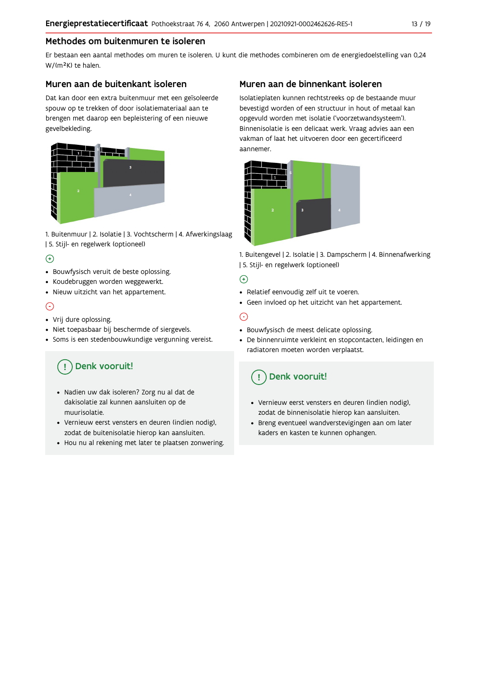### Methodes om buitenmuren te isoleren

Er bestaan een aantal methodes om muren te isoleren. U kunt die methodes combineren om de energiedoelstelling van 0,24 W/(m<sup>2</sup>K) te halen.

#### Muren aan de buitenkant isoleren

Dat kan door een extra buitenmuur met een geïsoleerde spouw op te trekken of door isolatiemateriaal aan te brengen met daarop een bepleistering of een nieuwe gevelbekleding.



1. Buitenmuur | 2. Isolatie | 3. Vochtscherm | 4. Afwerkingslaag | 5. Stijl- en regelwerk (optioneel)

### $\bigoplus$

- Bouwfysisch veruit de beste oplossing.
- Koudebruggen worden weggewerkt.
- · Nieuw uitzicht van het appartement.

### $\odot$

- Vrij dure oplossing.
- · Niet toepasbaar bij beschermde of siergevels.
- Soms is een stedenbouwkundige vergunning vereist.

## Denk vooruit!

- · Nadien uw dak isoleren? Zorg nu al dat de dakisolatie zal kunnen aansluiten op de muurisolatie.
- · Vernieuw eerst vensters en deuren (indien nodig), zodat de buitenisolatie hierop kan aansluiten.
- Hou nu al rekening met later te plaatsen zonwering.

### Muren aan de binnenkant isoleren

Isolatieplaten kunnen rechtstreeks op de bestaande muur bevestigd worden of een structuur in hout of metaal kan opgevuld worden met isolatie ('voorzetwandsysteem'). Binnenisolatie is een delicaat werk. Vraag advies aan een vakman of laat het uitvoeren door een gecertificeerd aannemer



1. Buitengevel | 2. Isolatie | 3. Dampscherm | 4. Binnenafwerking | 5. Stijl- en regelwerk (optioneel)

#### $\bigoplus$

- Relatief eenvoudig zelf uit te voeren.
- Geen invloed op het uitzicht van het appartement.

### ⊝

- Bouwfysisch de meest delicate oplossing.
- · De binnenruimte verkleint en stopcontacten, leidingen en radiatoren moeten worden verplaatst.

### Denk vooruit!

- Vernieuw eerst vensters en deuren (indien nodig), zodat de binnenisolatie hierop kan aansluiten.
- · Breng eventueel wandverstevigingen aan om later kaders en kasten te kunnen ophangen.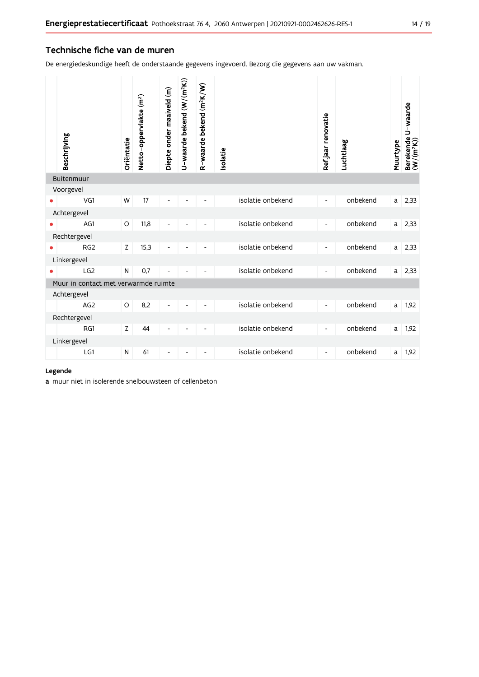#### Technische fiche van de muren

De energiedeskundige heeft de onderstaande gegevens ingevoerd. Bezorg die gegevens aan uw vakman.

| Beschrijving                         | Oriëntatie | Netto-oppervlakte (m <sup>2</sup> ) | Diepte onder maaiveld (m)    | U-waarde bekend (W/(m <sup>2</sup> K)) | R-waarde bekend (m <sup>2</sup> K/W) | solatie           | Refjaar renovatie            | Luchtlaag | Muurtype | Berekende U-waarde<br>(W/(m <sup>2</sup> K)) |
|--------------------------------------|------------|-------------------------------------|------------------------------|----------------------------------------|--------------------------------------|-------------------|------------------------------|-----------|----------|----------------------------------------------|
| Buitenmuur                           |            |                                     |                              |                                        |                                      |                   |                              |           |          |                                              |
| Voorgevel                            |            |                                     |                              |                                        |                                      |                   |                              |           |          |                                              |
| VG1                                  | W          | 17                                  |                              |                                        |                                      | isolatie onbekend | $\overline{\phantom{a}}$     | onbekend  | a        | 2,33                                         |
| Achtergevel                          |            |                                     |                              |                                        |                                      |                   |                              |           |          |                                              |
| AG1                                  | $\circ$    | 11,8                                |                              |                                        |                                      | isolatie onbekend | $\qquad \qquad \blacksquare$ | onbekend  | a        | 2,33                                         |
| Rechtergevel                         |            |                                     |                              |                                        |                                      |                   |                              |           |          |                                              |
| RG <sub>2</sub>                      | Z          | 15,3                                |                              |                                        |                                      | isolatie onbekend | $\blacksquare$               | onbekend  | a        | 2,33                                         |
| Linkergevel                          |            |                                     |                              |                                        |                                      |                   |                              |           |          |                                              |
| LG <sub>2</sub>                      | N          | 0,7                                 |                              |                                        |                                      | isolatie onbekend | $\overline{\phantom{a}}$     | onbekend  | a        | 2,33                                         |
| Muur in contact met verwarmde ruimte |            |                                     |                              |                                        |                                      |                   |                              |           |          |                                              |
| Achtergevel                          |            |                                     |                              |                                        |                                      |                   |                              |           |          |                                              |
| AG <sub>2</sub>                      | $\circ$    | 8,2                                 | $\overline{a}$               |                                        |                                      | isolatie onbekend | $\overline{\phantom{a}}$     | onbekend  | a        | 1,92                                         |
| Rechtergevel                         |            |                                     |                              |                                        |                                      |                   |                              |           |          |                                              |
| RG1                                  | Z          | 44                                  | $\qquad \qquad \blacksquare$ | $\overline{a}$                         |                                      | isolatie onbekend | $\overline{\phantom{a}}$     | onbekend  | a        | 1,92                                         |
| Linkergevel                          |            |                                     |                              |                                        |                                      |                   |                              |           |          |                                              |
| LG1                                  | N          | 61                                  | $\overline{\phantom{a}}$     | $\overline{\phantom{a}}$               | $\overline{\phantom{m}}$             | isolatie onbekend | $\overline{\phantom{a}}$     | onbekend  | a        | 1,92                                         |
|                                      |            |                                     |                              |                                        |                                      |                   |                              |           |          |                                              |

#### Legende

a muur niet in isolerende snelbouwsteen of cellenbeton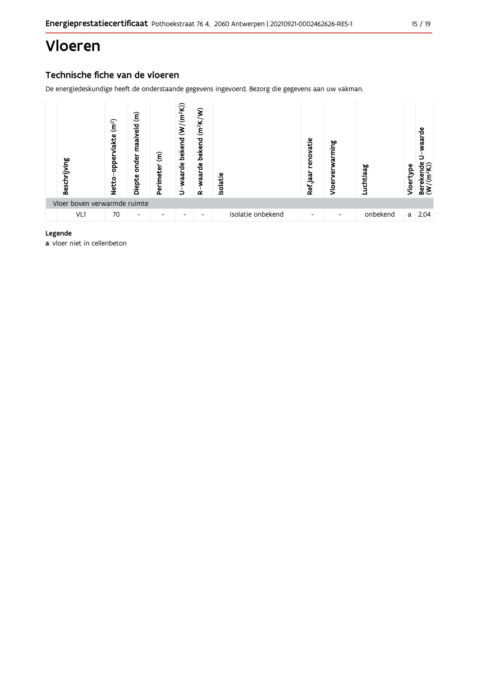## Vloeren

### Technische fiche van de vloeren

De energiedeskundige heeft de onderstaande gegevens ingevoerd. Bezorg die gegevens aan uw vakman.



#### Legende

a vloer niet in cellenbeton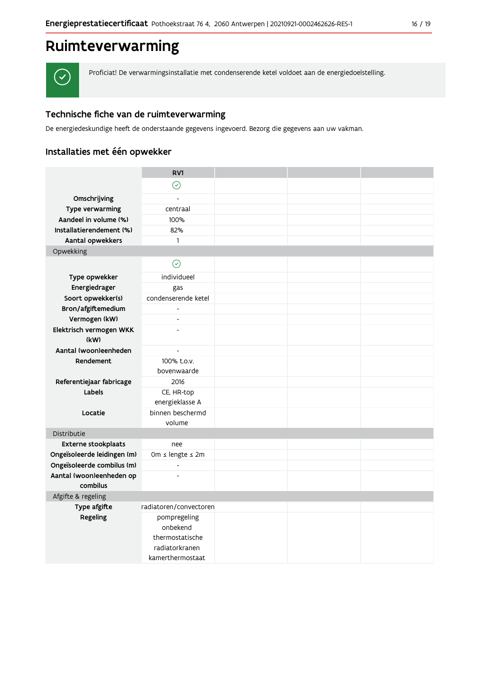## Ruimteverwarming



Proficiat! De verwarmingsinstallatie met condenserende ketel voldoet aan de energiedoelstelling.

### Technische fiche van de ruimteverwarming

De energiedeskundige heeft de onderstaande gegevens ingevoerd. Bezorg die gegevens aan uw vakman.

### Installaties met één opwekker

|                             | RV1                      |  |  |
|-----------------------------|--------------------------|--|--|
|                             | $\odot$                  |  |  |
| Omschrijving                |                          |  |  |
| Type verwarming             | centraal                 |  |  |
| Aandeel in volume (%)       | 100%                     |  |  |
| Installatierendement (%)    | 82%                      |  |  |
| Aantal opwekkers            | $\mathbf{1}$             |  |  |
| Opwekking                   |                          |  |  |
|                             | $\odot$                  |  |  |
|                             |                          |  |  |
| Type opwekker               | individueel              |  |  |
| Energiedrager               | gas                      |  |  |
| Soort opwekker(s)           | condenserende ketel      |  |  |
| Bron/afgiftemedium          |                          |  |  |
| Vermogen (kW)               | $\overline{\phantom{a}}$ |  |  |
| Elektrisch vermogen WKK     | $\overline{a}$           |  |  |
| (kW)                        |                          |  |  |
| Aantal (woon)eenheden       | $\overline{\phantom{a}}$ |  |  |
| Rendement                   | 100% t.o.v.              |  |  |
|                             | bovenwaarde              |  |  |
| Referentiejaar fabricage    | 2016                     |  |  |
| Labels                      | CE, HR-top               |  |  |
|                             | energieklasse A          |  |  |
| Locatie                     | binnen beschermd         |  |  |
|                             | volume                   |  |  |
| Distributie                 |                          |  |  |
| <b>Externe stookplaats</b>  | nee                      |  |  |
| Ongeïsoleerde leidingen (m) | 0m ≤ lengte ≤ 2m         |  |  |
| Ongeïsoleerde combilus (m)  | $\frac{1}{2}$            |  |  |
| Aantal (woon)eenheden op    |                          |  |  |
| combilus                    |                          |  |  |
| Afgifte & regeling          |                          |  |  |
| Type afgifte                | radiatoren/convectoren   |  |  |
| Regeling                    | pompregeling             |  |  |
|                             | onbekend                 |  |  |
|                             | thermostatische          |  |  |
|                             | radiatorkranen           |  |  |
|                             | kamerthermostaat         |  |  |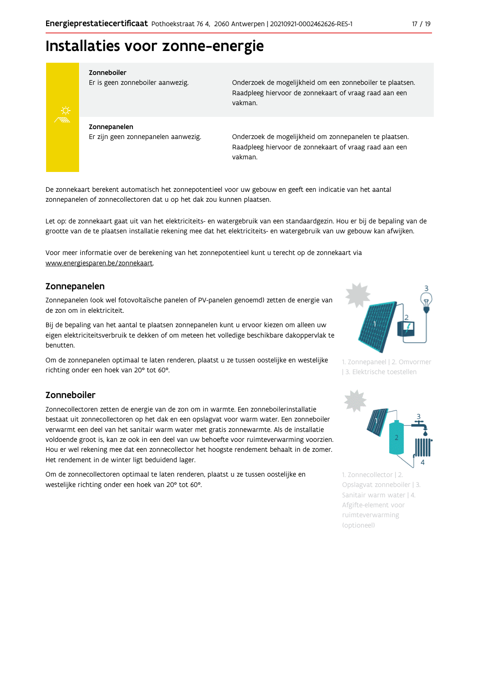## Installaties voor zonne-energie



#### Zonneboiler

Er is geen zonneboiler aanwezig.

Onderzoek de mogelijkheid om een zonneboiler te plaatsen. Raadpleeg hiervoor de zonnekaart of vraag raad aan een vakman.

Zonnepanelen Er zijn geen zonnepanelen aanwezig.

Onderzoek de mogelijkheid om zonnepanelen te plaatsen. Raadpleeg hiervoor de zonnekaart of vraag raad aan een vakman.

De zonnekaart berekent automatisch het zonnepotentieel voor uw gebouw en geeft een indicatie van het aantal zonnepanelen of zonnecollectoren dat u op het dak zou kunnen plaatsen.

Let op: de zonnekaart gaat uit van het elektriciteits- en watergebruik van een standaardgezin. Hou er bij de bepaling van de grootte van de te plaatsen installatie rekening mee dat het elektriciteits- en watergebruik van uw gebouw kan afwijken.

Voor meer informatie over de berekening van het zonnepotentieel kunt u terecht op de zonnekaart via www.energiesparen.be/zonnekaart.

#### Zonnepanelen

Zonnepanelen (ook wel fotovoltaïsche panelen of PV-panelen genoemd) zetten de energie van de zon om in elektriciteit.

Bij de bepaling van het aantal te plaatsen zonnepanelen kunt u ervoor kiezen om alleen uw eigen elektriciteitsverbruik te dekken of om meteen het volledige beschikbare dakoppervlak te benutten.

Om de zonnepanelen optimaal te laten renderen, plaatst u ze tussen oostelijke en westelijke richting onder een hoek van 20° tot 60°.

#### Zonneboiler

Zonnecollectoren zetten de energie van de zon om in warmte. Een zonneboilerinstallatie bestaat uit zonnecollectoren op het dak en een opslagvat voor warm water. Een zonneboiler verwarmt een deel van het sanitair warm water met gratis zonnewarmte. Als de installatie voldoende groot is, kan ze ook in een deel van uw behoefte voor ruimteverwarming voorzien. Hou er wel rekening mee dat een zonnecollector het hoogste rendement behaalt in de zomer. Het rendement in de winter ligt beduidend lager.

Om de zonnecollectoren optimaal te laten renderen, plaatst u ze tussen oostelijke en westelijke richting onder een hoek van 20° tot 60°.



1. Zonnepaneel | 2. Omvormer | 3. Elektrische toestellen



1. Zonnecollector | 2. Opslagvat zonneboiler | 3. Sanitair warm water | 4. Afgifte-element voor ruimteverwarming (optioneel)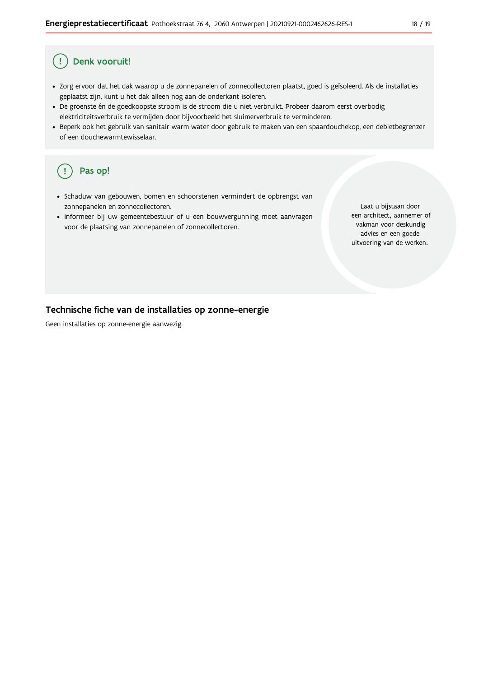#### Ţ Denk vooruit!

- · Zorg ervoor dat het dak waarop u de zonnepanelen of zonnecollectoren plaatst, goed is geïsoleerd. Als de installaties geplaatst zijn, kunt u het dak alleen nog aan de onderkant isoleren.
- · De groenste én de goedkoopste stroom is de stroom die u niet verbruikt. Probeer daarom eerst overbodig elektriciteitsverbruik te vermijden door bijvoorbeeld het sluimerverbruik te verminderen.
- · Beperk ook het gebruik van sanitair warm water door gebruik te maken van een spaardouchekop, een debietbegrenzer of een douchewarmtewisselaar.

#### Pas op! ( !

- · Schaduw van gebouwen, bomen en schoorstenen vermindert de opbrengst van zonnepanelen en zonnecollectoren.
- Informeer bij uw gemeentebestuur of u een bouwvergunning moet aanvragen voor de plaatsing van zonnepanelen of zonnecollectoren.

Laat u bijstaan door een architect, aannemer of vakman voor deskundig advies en een goede uitvoering van de werken.

#### Technische fiche van de installaties op zonne-energie

Geen installaties op zonne-energie aanwezig.